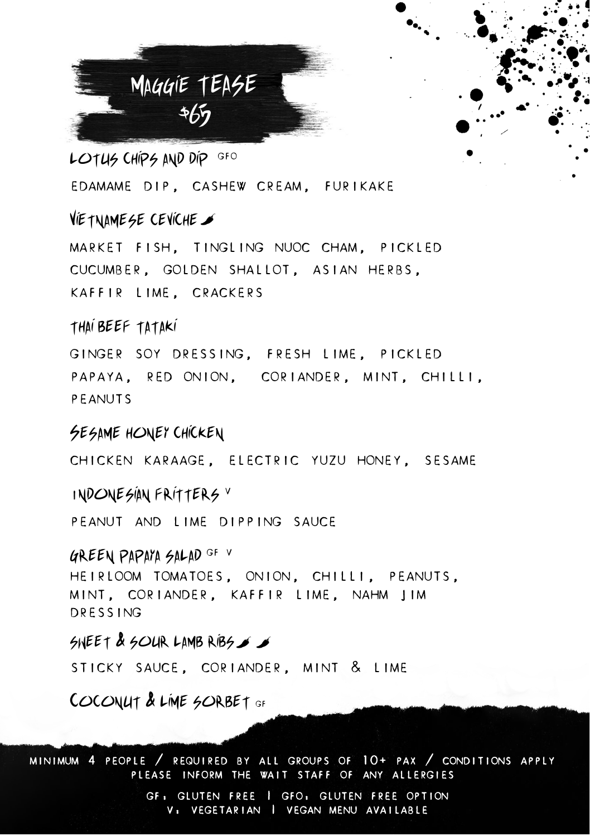

LOTUS CHIPS AND DIP GFO EDAMAME DIP, CASHEW CREAM, FURIKAKE

## Vietnamese ceviche

MARKET FISH, TINGLING NUOC CHAM, PICKLED CUCUMBER, GOLDEN SHALLOT, ASIAN HERBS, KAFFIR LIME, CRACKERS

#### thai beef tataki

GINGER SOY DRESSING, FRESH LIME, PICKLED PAPAYA, RED ONION, CORIANDER, MINT, CHILLI, PEANUTS

### SESAME HONEY CHICKEN

CHICKEN KARAAGE, ELECTRIC YUZU HONEY, SESAME

#### <sup>I</sup>ndonesian fritters <sup>V</sup>

PEANUT AND LIME DIPPING SAUCE

#### green papaya salad GF V

HEIRLOOM TOMATOES, ONION, CHILLI, PEANUTS, MINT, CORIANDER, KAFFIR LIME, NAHM JIM DRESSING

## SNEET & SOUR LAMBRIBS  $\blacktriangleright$

STICKY SAUCE, CORIANDER, MINT & LIME

COCONUT & LIME SORBET GF

MINIMUM 4 PEOPLE / REQUIRED BY ALL GROUPS OF 10+ PAX / CONDITIONS APPLY PLEASE INFORM THE WAIT STAFF OF ANY ALLERGIES

> GF: GLUTEN FREE | GFO: GLUTEN FREE OPTION V: VEGETARIAN | VEGAN MENU AVAILABLE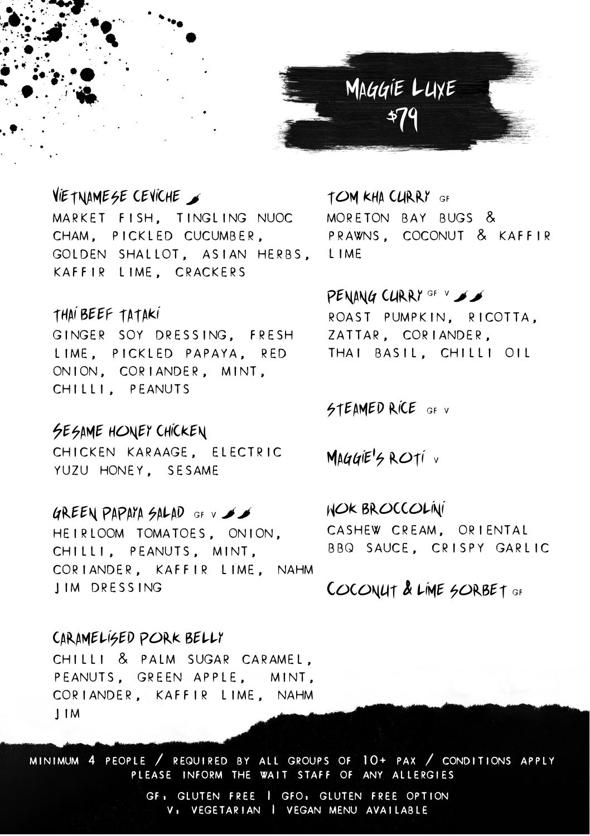

## Vietnamese ceviche

MARKET FISH, TINGLING NUOC CHAM, PICKLED CUCUMBER, GOLDEN SHALLOT, ASIAN HERBS, LIME KAFFIR LIME, CRACKERS

## thai beef tataki

GINGER SOY DRESSING, FRESH LIME, PICKLED PAPAYA, RED ONION, CORIANDER, MINT, CHILLI, PEANUTS

## Sesame honey chicken

CHICKEN KARAAGE, ELECTRIC YUZU HONEY, SESAME

#### GREEN PAPAYA SALAD GF V  $\blacktriangleright$

HEIRLOOM TOMATOES, ONION, CHILLI, PEANUTS, MINT, CORIANDER, KAFFIR LIME, NAHM JIM DRESSING

# TOM KHA CURRY GF MORETON BAY BUGS & PRAWNS, COCONUT & KAFFIR

# PENANG CURRY GF V SS ROAST PUMPKIN, RICOTTA, ZATTAR, CORIANDER, THAI BASIL, CHILLI OIL

#### STEAMED RICE GF V

MAGGIE'S ROTI V

#### wok broccolini

CASHEW CREAM, ORIENTAL BBQ SAUCE, CRISPY GARLIC

## COCONUT & LIME SORBET GF

## caramelised pork belly

CHILLI & PALM SUGAR CARAMEL, PEANUTS, GREEN APPLE, MINT, CORIANDER, KAFFIR LIME, NAHM JIM

MINIMUM 4 PEOPLE / REQUIRED BY ALL GROUPS OF 10+ PAX / CONDITIONS APPLY PLEASE INFORM THE WAIT STAFF OF ANY ALLERGIES

> GF: GLUTEN FREE | GFO: GLUTEN FREE OPTION V: VEGETARIAN | VEGAN MENU AVAILABLE